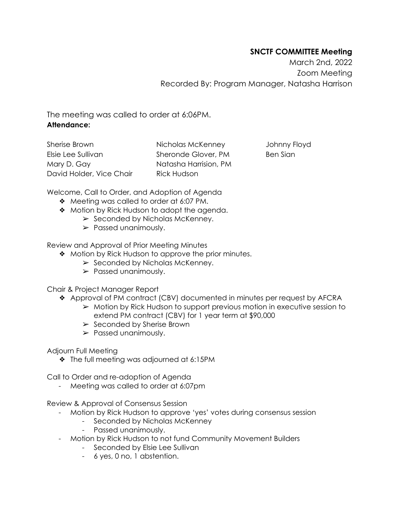## **SNCTF COMMITTEE Meeting**

March 2nd, 2022 Zoom Meeting Recorded By: Program Manager, Natasha Harrison

The meeting was called to order at 6:06PM. **Attendance:**

Sherise Brown Elsie Lee Sullivan Mary D. Gay David Holder, Vice Chair Nicholas McKenney Sheronde Glover, PM Natasha Harrision, PM Rick Hudson

Johnny Floyd Ben Sian

Welcome, Call to Order, and Adoption of Agenda

- ❖ Meeting was called to order at 6:07 PM.
- ❖ Motion by Rick Hudson to adopt the agenda.
	- $\triangleright$  Seconded by Nicholas McKenney.
	- ➢ Passed unanimously.

Review and Approval of Prior Meeting Minutes

- ❖ Motion by Rick Hudson to approve the prior minutes.
	- $\triangleright$  Seconded by Nicholas McKenney.
	- ➢ Passed unanimously.

Chair & Project Manager Report

- ❖ Approval of PM contract (CBV) documented in minutes per request by AFCRA
	- $\triangleright$  Motion by Rick Hudson to support previous motion in executive session to extend PM contract (CBV) for 1 year term at \$90,000
	- $\triangleright$  Seconded by Sherise Brown
	- ➢ Passed unanimously.

Adjourn Full Meeting

❖ The full meeting was adjourned at 6:15PM

Call to Order and re-adoption of Agenda

Meeting was called to order at 6:07pm

Review & Approval of Consensus Session

- Motion by Rick Hudson to approve 'yes' votes during consensus session
	- Seconded by Nicholas McKenney
	- Passed unanimously.
- Motion by Rick Hudson to not fund Community Movement Builders
	- Seconded by Elsie Lee Sullivan
	- 6 yes, 0 no, 1 abstention.